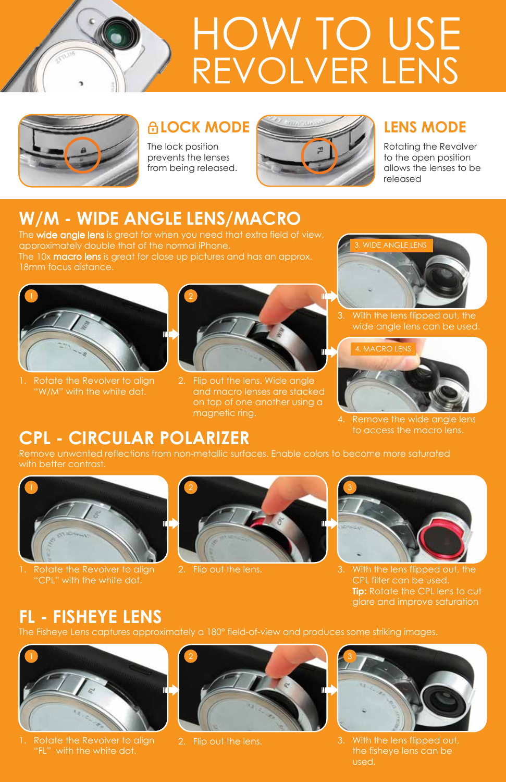



The lock position prevents the lenses from being released.



Rotating the Revolver to the open position allows the lenses to be released

# **W/M - WIDE ANGLE LENS/MACRO**

The wide angle lens is great for when you need that extra field of view, The 10x macro lens is great for close up pictures and has an approx. 18mm focus distance.



Rotate the Revolver to align "W/M" with the white dot.



2. Flip out the lens. Wide angle magnetic ring.



3. With the lens flipped out, the



Remove the wide angle lens to access the macro lens.

## **CPL - CIRCULAR POLARIZER**

Remove unwanted reflections from non-metallic surfaces. Enable colors to become more saturated with better contrast.



Rotate the Revolver to align "CPL" with the white dot.



2. Flip out the lens.



3. With the lens flipped out, the **Tip:** Rotate the CPL lens to cut glare and improve saturation

## **FL - FISHEYE LENS**

The Fisheye Lens captures approximately a 180° field-of-view and produces some striking images.



Rotate the Revolver to align ' with the white dot.



2. Flip out the lens.



3. With the lens flipped out the fisheye lens can be used.